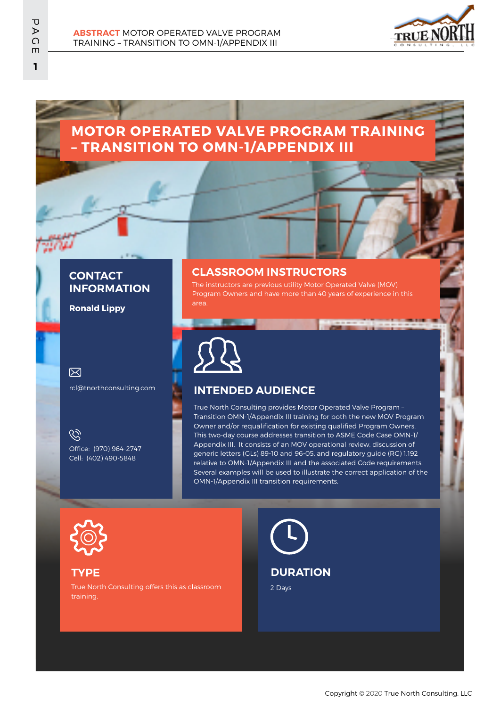

# **MOTOR OPERATED VALVE PROGRAM TRAINING – TRANSITION TO OMN-1/APPENDIX III**

### **CONTACT INFORMATION**

**Ronald Lippy**

#### 冈

rcl@tnorthconsulting.com

 $\mathscr{C}$ Office: (970) 964-2747 Cell: (402) 490-5848

#### **CLASSROOM INSTRUCTORS**

The instructors are previous utility Motor Operated Valve (MOV) Program Owners and have more than 40 years of experience in this area.



### **INTENDED AUDIENCE**

True North Consulting provides Motor Operated Valve Program – Transition OMN-1/Appendix III training for both the new MOV Program Owner and/or requalification for existing qualified Program Owners. This two-day course addresses transition to ASME Code Case OMN-1/ Appendix III. It consists of an MOV operational review, discussion of generic letters (GLs) 89-10 and 96-05, and regulatory guide (RG) 1.192 relative to OMN-1/Appendix III and the associated Code requirements. Several examples will be used to illustrate the correct application of the OMN-1/Appendix III transition requirements.



### **TYPE**

True North Consulting offers this as classroom training.

2 Days **DURATION**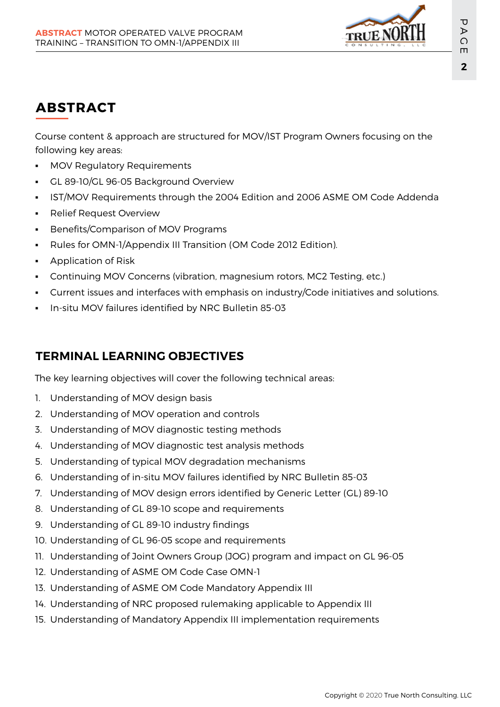

# **ABSTRACT**

Course content & approach are structured for MOV/IST Program Owners focusing on the following key areas:

- MOV Regulatory Requirements
- GL 89-10/GL 96-05 Background Overview
- IST/MOV Requirements through the 2004 Edition and 2006 ASME OM Code Addenda
- **•** Relief Request Overview
- **•** Benefits/Comparison of MOV Programs
- Rules for OMN-1/Appendix III Transition (OM Code 2012 Edition).
- Application of Risk
- Continuing MOV Concerns (vibration, magnesium rotors, MC2 Testing, etc.)
- Current issues and interfaces with emphasis on industry/Code initiatives and solutions.
- In-situ MOV failures identified by NRC Bulletin 85-03

### **TERMINAL LEARNING OBJECTIVES**

The key learning objectives will cover the following technical areas:

- 1. Understanding of MOV design basis
- 2. Understanding of MOV operation and controls
- 3. Understanding of MOV diagnostic testing methods
- 4. Understanding of MOV diagnostic test analysis methods
- 5. Understanding of typical MOV degradation mechanisms
- 6. Understanding of in-situ MOV failures identified by NRC Bulletin 85-03
- 7. Understanding of MOV design errors identified by Generic Letter (GL) 89-10
- 8. Understanding of GL 89-10 scope and requirements
- 9. Understanding of GL 89-10 industry findings
- 10. Understanding of GL 96-05 scope and requirements
- 11. Understanding of Joint Owners Group (JOG) program and impact on GL 96-05
- 12. Understanding of ASME OM Code Case OMN-1
- 13. Understanding of ASME OM Code Mandatory Appendix III
- 14. Understanding of NRC proposed rulemaking applicable to Appendix III
- 15. Understanding of Mandatory Appendix III implementation requirements